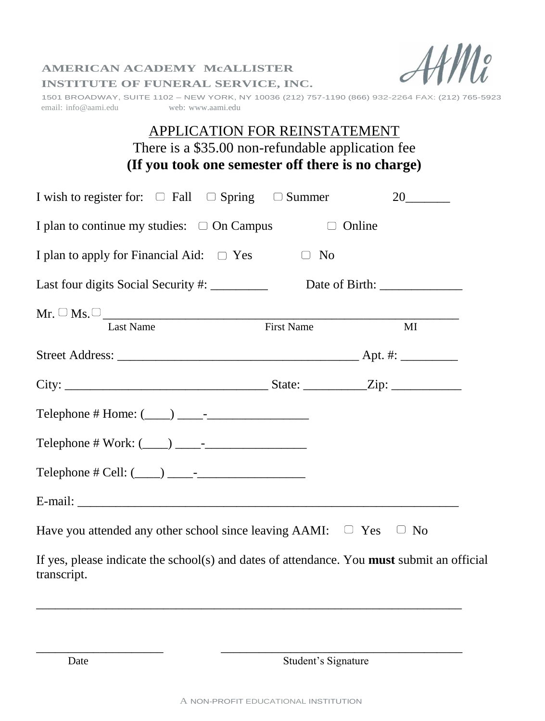

#### **AMERICAN ACADEMY McALLISTER INSTITUTE OF FUNERAL SERVICE, INC.**

1501 BROADWAY, SUITE 1102 – NEW YORK, NY 10036 (212) 757-1190 (866) 932-2264 FAX: (212) 765-5923 email: info@aami.edu web: [www.aami.edu](http://www.funeraleducation.org/)

# APPLICATION FOR REINSTATEMENT There is a \$35.00 non-refundable application fee **(If you took one semester off there is no charge)**

| I wish to register for: $\Box$ Fall $\Box$ Spring $\Box$ Summer                                           |               | 20 |
|-----------------------------------------------------------------------------------------------------------|---------------|----|
| I plan to continue my studies: $\Box$ On Campus                                                           | $\Box$ Online |    |
| I plan to apply for Financial Aid: $\Box$ Yes                                                             | $\Box$ No     |    |
|                                                                                                           |               |    |
| $Mr. \Box$ Ms. $\Box$ Last Name First Name First Name                                                     |               | MI |
|                                                                                                           |               |    |
|                                                                                                           |               |    |
|                                                                                                           |               |    |
|                                                                                                           |               |    |
| Telephone # Cell: $(\_\_)$ $\_\_$ -                                                                       |               |    |
|                                                                                                           |               |    |
| Have you attended any other school since leaving AAMI: $\Box$ Yes $\Box$ No                               |               |    |
| If yes, please indicate the school(s) and dates of attendance. You must submit an official<br>transcript. |               |    |

Date Student's Signature

\_\_\_\_\_\_\_\_\_\_\_\_\_\_\_\_\_\_\_\_\_\_\_\_\_\_\_\_\_\_\_\_\_\_\_\_\_\_\_\_\_\_\_\_\_\_\_\_\_\_\_\_\_\_\_\_\_\_\_\_\_\_\_\_\_\_\_

 $\overline{\phantom{a}}$  , and the contract of the contract of the contract of the contract of the contract of the contract of the contract of the contract of the contract of the contract of the contract of the contract of the contrac